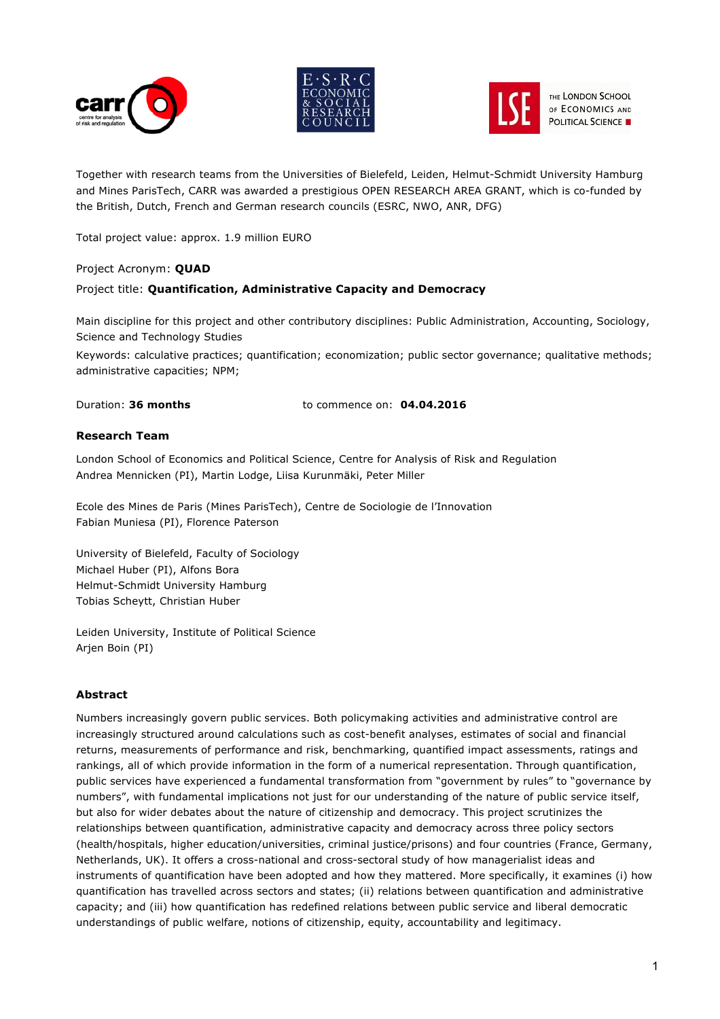





THE LONDON SCHOOL OF ECONOMICS AND **POLITICAL SCIENCE** 

Together with research teams from the Universities of Bielefeld, Leiden, Helmut-Schmidt University Hamburg and Mines ParisTech, CARR was awarded a prestigious OPEN RESEARCH AREA GRANT, which is co-funded by the British, Dutch, French and German research councils (ESRC, NWO, ANR, DFG)

Total project value: approx. 1.9 million EURO

## Project Acronym: **QUAD**

## Project title: **Quantification, Administrative Capacity and Democracy**

Main discipline for this project and other contributory disciplines: Public Administration, Accounting, Sociology, Science and Technology Studies

Keywords: calculative practices; quantification; economization; public sector governance; qualitative methods; administrative capacities; NPM;

Duration: **36 months** to commence on: **04.04.2016**

## **Research Team**

London School of Economics and Political Science, Centre for Analysis of Risk and Regulation Andrea Mennicken (PI), Martin Lodge, Liisa Kurunmäki, Peter Miller

Ecole des Mines de Paris (Mines ParisTech), Centre de Sociologie de l'Innovation Fabian Muniesa (PI), Florence Paterson

University of Bielefeld, Faculty of Sociology Michael Huber (PI), Alfons Bora Helmut-Schmidt University Hamburg Tobias Scheytt, Christian Huber

Leiden University, Institute of Political Science Arjen Boin (PI)

## **Abstract**

Numbers increasingly govern public services. Both policymaking activities and administrative control are increasingly structured around calculations such as cost-benefit analyses, estimates of social and financial returns, measurements of performance and risk, benchmarking, quantified impact assessments, ratings and rankings, all of which provide information in the form of a numerical representation. Through quantification, public services have experienced a fundamental transformation from "government by rules" to "governance by numbers", with fundamental implications not just for our understanding of the nature of public service itself, but also for wider debates about the nature of citizenship and democracy. This project scrutinizes the relationships between quantification, administrative capacity and democracy across three policy sectors (health/hospitals, higher education/universities, criminal justice/prisons) and four countries (France, Germany, Netherlands, UK). It offers a cross-national and cross-sectoral study of how managerialist ideas and instruments of quantification have been adopted and how they mattered. More specifically, it examines (i) how quantification has travelled across sectors and states; (ii) relations between quantification and administrative capacity; and (iii) how quantification has redefined relations between public service and liberal democratic understandings of public welfare, notions of citizenship, equity, accountability and legitimacy.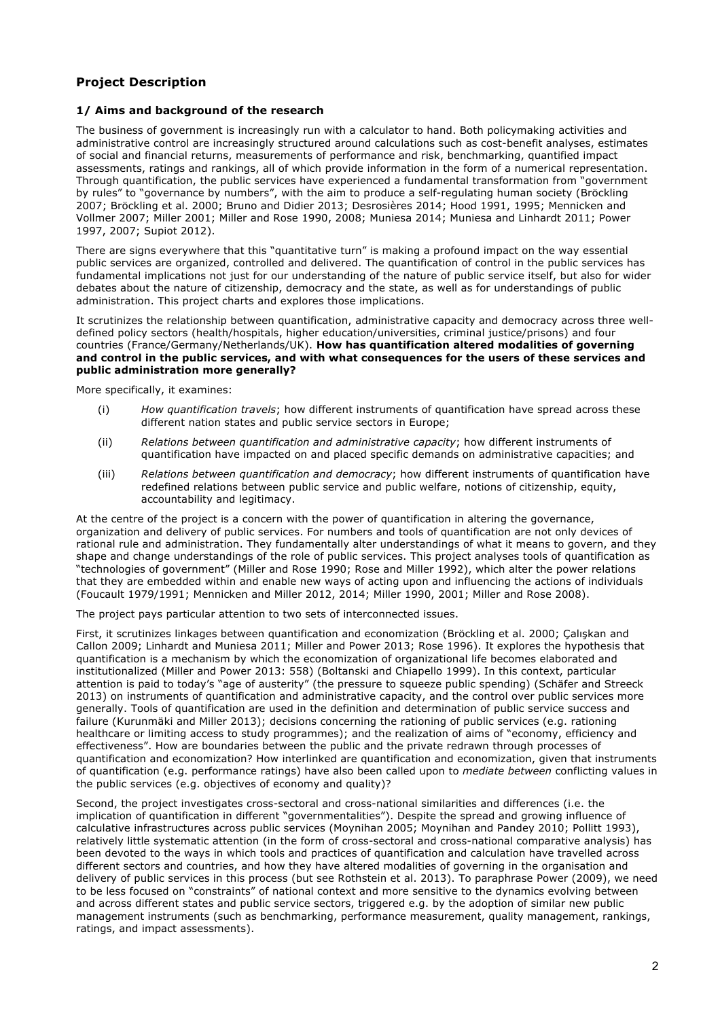# **Project Description**

#### **1/ Aims and background of the research**

The business of government is increasingly run with a calculator to hand. Both policymaking activities and administrative control are increasingly structured around calculations such as cost-benefit analyses, estimates of social and financial returns, measurements of performance and risk, benchmarking, quantified impact assessments, ratings and rankings, all of which provide information in the form of a numerical representation. Through quantification, the public services have experienced a fundamental transformation from "government by rules" to "governance by numbers", with the aim to produce a self-regulating human society (Bröckling 2007; Bröckling et al. 2000; Bruno and Didier 2013; Desrosières 2014; Hood 1991, 1995; Mennicken and Vollmer 2007; Miller 2001; Miller and Rose 1990, 2008; Muniesa 2014; Muniesa and Linhardt 2011; Power 1997, 2007; Supiot 2012).

There are signs everywhere that this "quantitative turn" is making a profound impact on the way essential public services are organized, controlled and delivered. The quantification of control in the public services has fundamental implications not just for our understanding of the nature of public service itself, but also for wider debates about the nature of citizenship, democracy and the state, as well as for understandings of public administration. This project charts and explores those implications.

It scrutinizes the relationship between quantification, administrative capacity and democracy across three welldefined policy sectors (health/hospitals, higher education/universities, criminal justice/prisons) and four countries (France/Germany/Netherlands/UK). **How has quantification altered modalities of governing and control in the public services, and with what consequences for the users of these services and public administration more generally?**

More specifically, it examines:

- (i) *How quantification travels*; how different instruments of quantification have spread across these different nation states and public service sectors in Europe;
- (ii) *Relations between quantification and administrative capacity*; how different instruments of quantification have impacted on and placed specific demands on administrative capacities; and
- (iii) *Relations between quantification and democracy*; how different instruments of quantification have redefined relations between public service and public welfare, notions of citizenship, equity, accountability and legitimacy.

At the centre of the project is a concern with the power of quantification in altering the governance, organization and delivery of public services. For numbers and tools of quantification are not only devices of rational rule and administration. They fundamentally alter understandings of what it means to govern, and they shape and change understandings of the role of public services. This project analyses tools of quantification as "technologies of government" (Miller and Rose 1990; Rose and Miller 1992), which alter the power relations that they are embedded within and enable new ways of acting upon and influencing the actions of individuals (Foucault 1979/1991; Mennicken and Miller 2012, 2014; Miller 1990, 2001; Miller and Rose 2008).

The project pays particular attention to two sets of interconnected issues.

First, it scrutinizes linkages between quantification and economization (Bröckling et al. 2000; Çalışkan and Callon 2009; Linhardt and Muniesa 2011; Miller and Power 2013; Rose 1996). It explores the hypothesis that quantification is a mechanism by which the economization of organizational life becomes elaborated and institutionalized (Miller and Power 2013: 558) (Boltanski and Chiapello 1999). In this context, particular attention is paid to today's "age of austerity" (the pressure to squeeze public spending) (Schäfer and Streeck 2013) on instruments of quantification and administrative capacity, and the control over public services more generally. Tools of quantification are used in the definition and determination of public service success and failure (Kurunmäki and Miller 2013); decisions concerning the rationing of public services (e.g. rationing healthcare or limiting access to study programmes); and the realization of aims of "economy, efficiency and effectiveness". How are boundaries between the public and the private redrawn through processes of quantification and economization? How interlinked are quantification and economization, given that instruments of quantification (e.g. performance ratings) have also been called upon to *mediate between* conflicting values in the public services (e.g. objectives of economy and quality)?

Second, the project investigates cross-sectoral and cross-national similarities and differences (i.e. the implication of quantification in different "governmentalities"). Despite the spread and growing influence of calculative infrastructures across public services (Moynihan 2005; Moynihan and Pandey 2010; Pollitt 1993), relatively little systematic attention (in the form of cross-sectoral and cross-national comparative analysis) has been devoted to the ways in which tools and practices of quantification and calculation have travelled across different sectors and countries, and how they have altered modalities of governing in the organisation and delivery of public services in this process (but see Rothstein et al. 2013). To paraphrase Power (2009), we need to be less focused on "constraints" of national context and more sensitive to the dynamics evolving between and across different states and public service sectors, triggered e.g. by the adoption of similar new public management instruments (such as benchmarking, performance measurement, quality management, rankings, ratings, and impact assessments).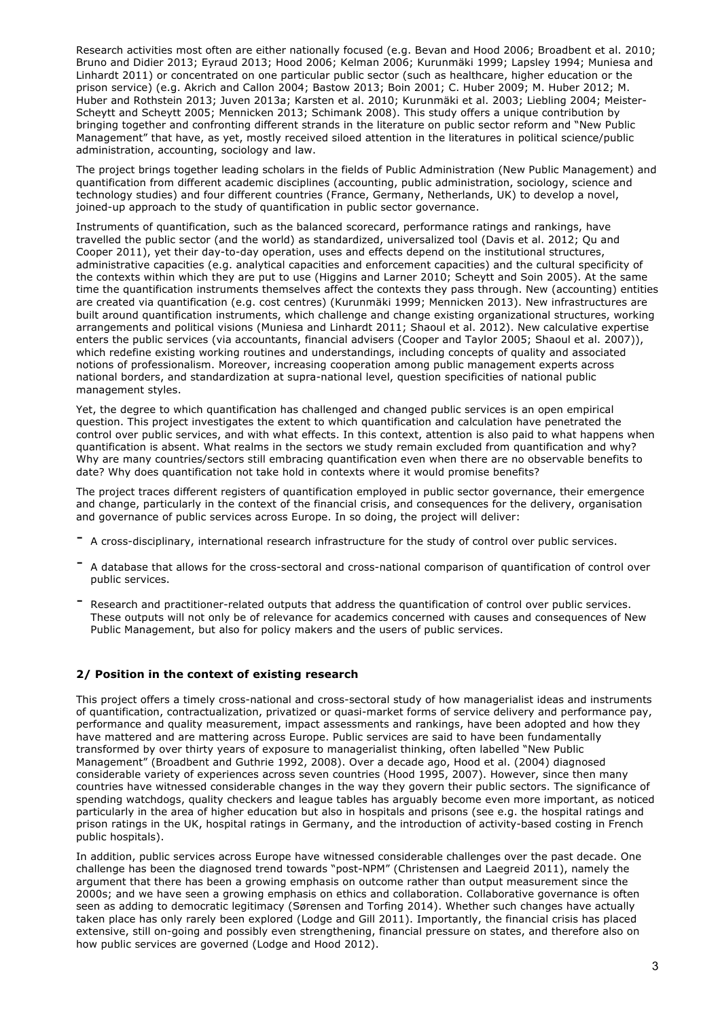Research activities most often are either nationally focused (e.g. Bevan and Hood 2006; Broadbent et al. 2010; Bruno and Didier 2013; Eyraud 2013; Hood 2006; Kelman 2006; Kurunmäki 1999; Lapsley 1994; Muniesa and Linhardt 2011) or concentrated on one particular public sector (such as healthcare, higher education or the prison service) (e.g. Akrich and Callon 2004; Bastow 2013; Boin 2001; C. Huber 2009; M. Huber 2012; M. Huber and Rothstein 2013; Juven 2013a; Karsten et al. 2010; Kurunmäki et al. 2003; Liebling 2004; Meister-Scheytt and Scheytt 2005; Mennicken 2013; Schimank 2008). This study offers a unique contribution by bringing together and confronting different strands in the literature on public sector reform and "New Public Management" that have, as yet, mostly received siloed attention in the literatures in political science/public administration, accounting, sociology and law.

The project brings together leading scholars in the fields of Public Administration (New Public Management) and quantification from different academic disciplines (accounting, public administration, sociology, science and technology studies) and four different countries (France, Germany, Netherlands, UK) to develop a novel, joined-up approach to the study of quantification in public sector governance.

Instruments of quantification, such as the balanced scorecard, performance ratings and rankings, have travelled the public sector (and the world) as standardized, universalized tool (Davis et al. 2012; Qu and Cooper 2011), yet their day-to-day operation, uses and effects depend on the institutional structures, administrative capacities (e.g. analytical capacities and enforcement capacities) and the cultural specificity of the contexts within which they are put to use (Higgins and Larner 2010; Scheytt and Soin 2005). At the same time the quantification instruments themselves affect the contexts they pass through. New (accounting) entities are created via quantification (e.g. cost centres) (Kurunmäki 1999; Mennicken 2013). New infrastructures are built around quantification instruments, which challenge and change existing organizational structures, working arrangements and political visions (Muniesa and Linhardt 2011; Shaoul et al. 2012). New calculative expertise enters the public services (via accountants, financial advisers (Cooper and Taylor 2005; Shaoul et al. 2007)), which redefine existing working routines and understandings, including concepts of quality and associated notions of professionalism. Moreover, increasing cooperation among public management experts across national borders, and standardization at supra-national level, question specificities of national public management styles.

Yet, the degree to which quantification has challenged and changed public services is an open empirical question. This project investigates the extent to which quantification and calculation have penetrated the control over public services, and with what effects. In this context, attention is also paid to what happens when quantification is absent. What realms in the sectors we study remain excluded from quantification and why? Why are many countries/sectors still embracing quantification even when there are no observable benefits to date? Why does quantification not take hold in contexts where it would promise benefits?

The project traces different registers of quantification employed in public sector governance, their emergence and change, particularly in the context of the financial crisis, and consequences for the delivery, organisation and governance of public services across Europe. In so doing, the project will deliver:

- <sup>A</sup> cross-disciplinary, international research infrastructure for the study of control over public services.
- <sup>A</sup> database that allows for the cross-sectoral and cross-national comparison of quantification of control over public services.
- Research and practitioner-related outputs that address the quantification of control over public services. These outputs will not only be of relevance for academics concerned with causes and consequences of New Public Management, but also for policy makers and the users of public services.

## **2/ Position in the context of existing research**

This project offers a timely cross-national and cross-sectoral study of how managerialist ideas and instruments of quantification, contractualization, privatized or quasi-market forms of service delivery and performance pay, performance and quality measurement, impact assessments and rankings, have been adopted and how they have mattered and are mattering across Europe. Public services are said to have been fundamentally transformed by over thirty years of exposure to managerialist thinking, often labelled "New Public Management" (Broadbent and Guthrie 1992, 2008). Over a decade ago, Hood et al. (2004) diagnosed considerable variety of experiences across seven countries (Hood 1995, 2007). However, since then many countries have witnessed considerable changes in the way they govern their public sectors. The significance of spending watchdogs, quality checkers and league tables has arguably become even more important, as noticed particularly in the area of higher education but also in hospitals and prisons (see e.g. the hospital ratings and prison ratings in the UK, hospital ratings in Germany, and the introduction of activity-based costing in French public hospitals).

In addition, public services across Europe have witnessed considerable challenges over the past decade. One challenge has been the diagnosed trend towards "post-NPM" (Christensen and Laegreid 2011), namely the argument that there has been a growing emphasis on outcome rather than output measurement since the 2000s; and we have seen a growing emphasis on ethics and collaboration. Collaborative governance is often seen as adding to democratic legitimacy (Sørensen and Torfing 2014). Whether such changes have actually taken place has only rarely been explored (Lodge and Gill 2011). Importantly, the financial crisis has placed extensive, still on-going and possibly even strengthening, financial pressure on states, and therefore also on how public services are governed (Lodge and Hood 2012).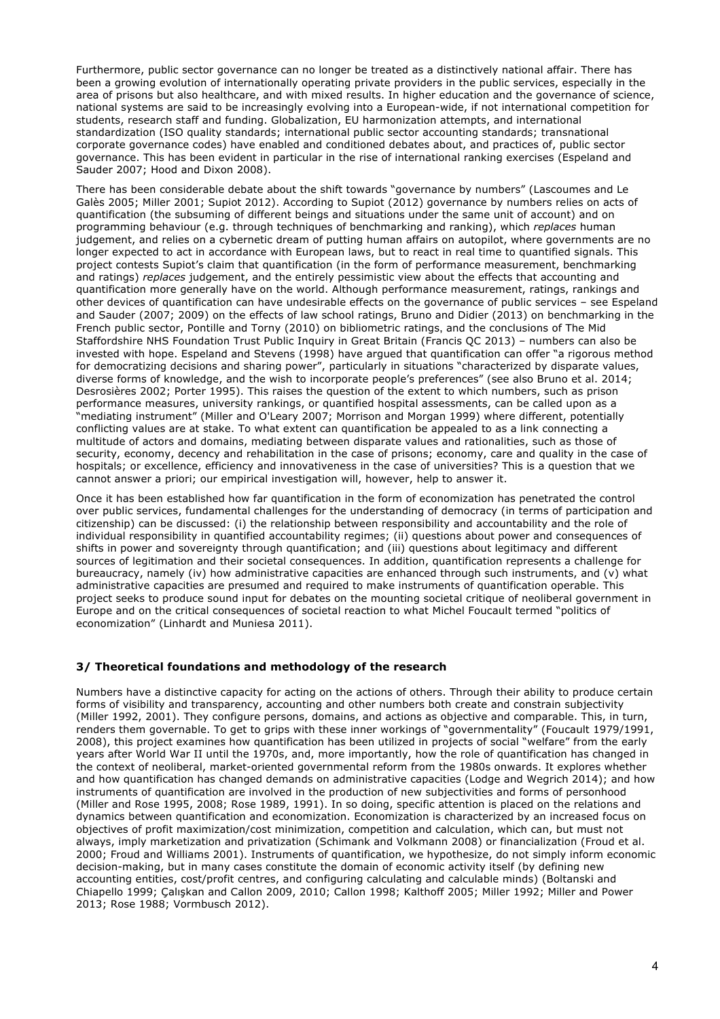Furthermore, public sector governance can no longer be treated as a distinctively national affair. There has been a growing evolution of internationally operating private providers in the public services, especially in the area of prisons but also healthcare, and with mixed results. In higher education and the governance of science, national systems are said to be increasingly evolving into a European-wide, if not international competition for students, research staff and funding. Globalization, EU harmonization attempts, and international standardization (ISO quality standards; international public sector accounting standards; transnational corporate governance codes) have enabled and conditioned debates about, and practices of, public sector governance. This has been evident in particular in the rise of international ranking exercises (Espeland and Sauder 2007; Hood and Dixon 2008).

There has been considerable debate about the shift towards "governance by numbers" (Lascoumes and Le Galès 2005; Miller 2001; Supiot 2012). According to Supiot (2012) governance by numbers relies on acts of quantification (the subsuming of different beings and situations under the same unit of account) and on programming behaviour (e.g. through techniques of benchmarking and ranking), which *replaces* human judgement, and relies on a cybernetic dream of putting human affairs on autopilot, where governments are no longer expected to act in accordance with European laws, but to react in real time to quantified signals. This project contests Supiot's claim that quantification (in the form of performance measurement, benchmarking and ratings) *replaces* judgement, and the entirely pessimistic view about the effects that accounting and quantification more generally have on the world. Although performance measurement, ratings, rankings and other devices of quantification can have undesirable effects on the governance of public services – see Espeland and Sauder (2007; 2009) on the effects of law school ratings, Bruno and Didier (2013) on benchmarking in the French public sector, Pontille and Torny (2010) on bibliometric ratings, and the conclusions of The Mid Staffordshire NHS Foundation Trust Public Inquiry in Great Britain (Francis QC 2013) – numbers can also be invested with hope. Espeland and Stevens (1998) have argued that quantification can offer "a rigorous method for democratizing decisions and sharing power", particularly in situations "characterized by disparate values, diverse forms of knowledge, and the wish to incorporate people's preferences" (see also Bruno et al. 2014; Desrosières 2002; Porter 1995). This raises the question of the extent to which numbers, such as prison performance measures, university rankings, or quantified hospital assessments, can be called upon as a "mediating instrument" (Miller and O'Leary 2007; Morrison and Morgan 1999) where different, potentially conflicting values are at stake. To what extent can quantification be appealed to as a link connecting a multitude of actors and domains, mediating between disparate values and rationalities, such as those of security, economy, decency and rehabilitation in the case of prisons; economy, care and quality in the case of hospitals; or excellence, efficiency and innovativeness in the case of universities? This is a question that we cannot answer a priori; our empirical investigation will, however, help to answer it.

Once it has been established how far quantification in the form of economization has penetrated the control over public services, fundamental challenges for the understanding of democracy (in terms of participation and citizenship) can be discussed: (i) the relationship between responsibility and accountability and the role of individual responsibility in quantified accountability regimes; (ii) questions about power and consequences of shifts in power and sovereignty through quantification; and (iii) questions about legitimacy and different sources of legitimation and their societal consequences. In addition, quantification represents a challenge for bureaucracy, namely (iv) how administrative capacities are enhanced through such instruments, and (v) what administrative capacities are presumed and required to make instruments of quantification operable. This project seeks to produce sound input for debates on the mounting societal critique of neoliberal government in Europe and on the critical consequences of societal reaction to what Michel Foucault termed "politics of economization" (Linhardt and Muniesa 2011).

## **3/ Theoretical foundations and methodology of the research**

Numbers have a distinctive capacity for acting on the actions of others. Through their ability to produce certain forms of visibility and transparency, accounting and other numbers both create and constrain subjectivity (Miller 1992, 2001). They configure persons, domains, and actions as objective and comparable. This, in turn, renders them governable. To get to grips with these inner workings of "governmentality" (Foucault 1979/1991, 2008), this project examines how quantification has been utilized in projects of social "welfare" from the early years after World War II until the 1970s, and, more importantly, how the role of quantification has changed in the context of neoliberal, market-oriented governmental reform from the 1980s onwards. It explores whether and how quantification has changed demands on administrative capacities (Lodge and Wegrich 2014); and how instruments of quantification are involved in the production of new subjectivities and forms of personhood (Miller and Rose 1995, 2008; Rose 1989, 1991). In so doing, specific attention is placed on the relations and dynamics between quantification and economization. Economization is characterized by an increased focus on objectives of profit maximization/cost minimization, competition and calculation, which can, but must not always, imply marketization and privatization (Schimank and Volkmann 2008) or financialization (Froud et al. 2000; Froud and Williams 2001). Instruments of quantification, we hypothesize, do not simply inform economic decision-making, but in many cases constitute the domain of economic activity itself (by defining new accounting entities, cost/profit centres, and configuring calculating and calculable minds) (Boltanski and Chiapello 1999; Çalışkan and Callon 2009, 2010; Callon 1998; Kalthoff 2005; Miller 1992; Miller and Power 2013; Rose 1988; Vormbusch 2012).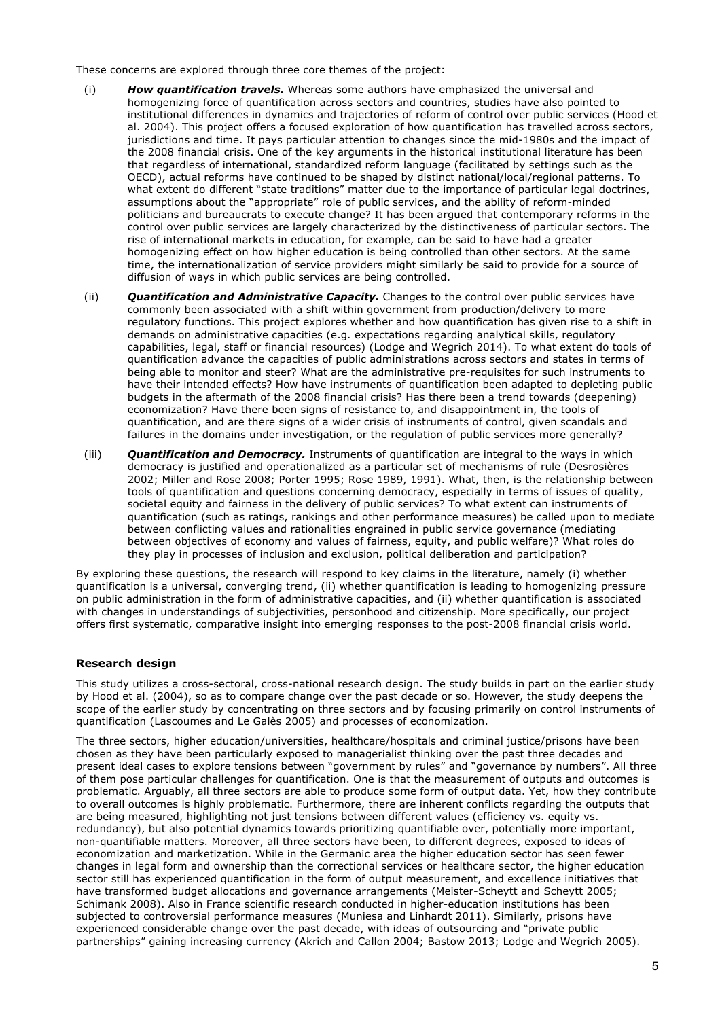These concerns are explored through three core themes of the project:

- (i) *How quantification travels.* Whereas some authors have emphasized the universal and homogenizing force of quantification across sectors and countries, studies have also pointed to institutional differences in dynamics and trajectories of reform of control over public services (Hood et al. 2004). This project offers a focused exploration of how quantification has travelled across sectors, jurisdictions and time. It pays particular attention to changes since the mid-1980s and the impact of the 2008 financial crisis. One of the key arguments in the historical institutional literature has been that regardless of international, standardized reform language (facilitated by settings such as the OECD), actual reforms have continued to be shaped by distinct national/local/regional patterns. To what extent do different "state traditions" matter due to the importance of particular legal doctrines, assumptions about the "appropriate" role of public services, and the ability of reform-minded politicians and bureaucrats to execute change? It has been argued that contemporary reforms in the control over public services are largely characterized by the distinctiveness of particular sectors. The rise of international markets in education, for example, can be said to have had a greater homogenizing effect on how higher education is being controlled than other sectors. At the same time, the internationalization of service providers might similarly be said to provide for a source of diffusion of ways in which public services are being controlled.
- (ii) *Quantification and Administrative Capacity.* Changes to the control over public services have commonly been associated with a shift within government from production/delivery to more regulatory functions. This project explores whether and how quantification has given rise to a shift in demands on administrative capacities (e.g. expectations regarding analytical skills, regulatory capabilities, legal, staff or financial resources) (Lodge and Wegrich 2014). To what extent do tools of quantification advance the capacities of public administrations across sectors and states in terms of being able to monitor and steer? What are the administrative pre-requisites for such instruments to have their intended effects? How have instruments of quantification been adapted to depleting public budgets in the aftermath of the 2008 financial crisis? Has there been a trend towards (deepening) economization? Have there been signs of resistance to, and disappointment in, the tools of quantification, and are there signs of a wider crisis of instruments of control, given scandals and failures in the domains under investigation, or the regulation of public services more generally?
- (iii) *Quantification and Democracy.* Instruments of quantification are integral to the ways in which democracy is justified and operationalized as a particular set of mechanisms of rule (Desrosières 2002; Miller and Rose 2008; Porter 1995; Rose 1989, 1991). What, then, is the relationship between tools of quantification and questions concerning democracy, especially in terms of issues of quality, societal equity and fairness in the delivery of public services? To what extent can instruments of quantification (such as ratings, rankings and other performance measures) be called upon to mediate between conflicting values and rationalities engrained in public service governance (mediating between objectives of economy and values of fairness, equity, and public welfare)? What roles do they play in processes of inclusion and exclusion, political deliberation and participation?

By exploring these questions, the research will respond to key claims in the literature, namely (i) whether quantification is a universal, converging trend, (ii) whether quantification is leading to homogenizing pressure on public administration in the form of administrative capacities, and (ii) whether quantification is associated with changes in understandings of subjectivities, personhood and citizenship. More specifically, our project offers first systematic, comparative insight into emerging responses to the post-2008 financial crisis world.

## **Research design**

This study utilizes a cross-sectoral, cross-national research design. The study builds in part on the earlier study by Hood et al. (2004), so as to compare change over the past decade or so. However, the study deepens the scope of the earlier study by concentrating on three sectors and by focusing primarily on control instruments of quantification (Lascoumes and Le Galès 2005) and processes of economization.

The three sectors, higher education/universities, healthcare/hospitals and criminal justice/prisons have been chosen as they have been particularly exposed to managerialist thinking over the past three decades and present ideal cases to explore tensions between "government by rules" and "governance by numbers". All three of them pose particular challenges for quantification. One is that the measurement of outputs and outcomes is problematic. Arguably, all three sectors are able to produce some form of output data. Yet, how they contribute to overall outcomes is highly problematic. Furthermore, there are inherent conflicts regarding the outputs that are being measured, highlighting not just tensions between different values (efficiency vs. equity vs. redundancy), but also potential dynamics towards prioritizing quantifiable over, potentially more important, non-quantifiable matters. Moreover, all three sectors have been, to different degrees, exposed to ideas of economization and marketization. While in the Germanic area the higher education sector has seen fewer changes in legal form and ownership than the correctional services or healthcare sector, the higher education sector still has experienced quantification in the form of output measurement, and excellence initiatives that have transformed budget allocations and governance arrangements (Meister-Scheytt and Scheytt 2005; Schimank 2008). Also in France scientific research conducted in higher-education institutions has been subjected to controversial performance measures (Muniesa and Linhardt 2011). Similarly, prisons have experienced considerable change over the past decade, with ideas of outsourcing and "private public partnerships" gaining increasing currency (Akrich and Callon 2004; Bastow 2013; Lodge and Wegrich 2005).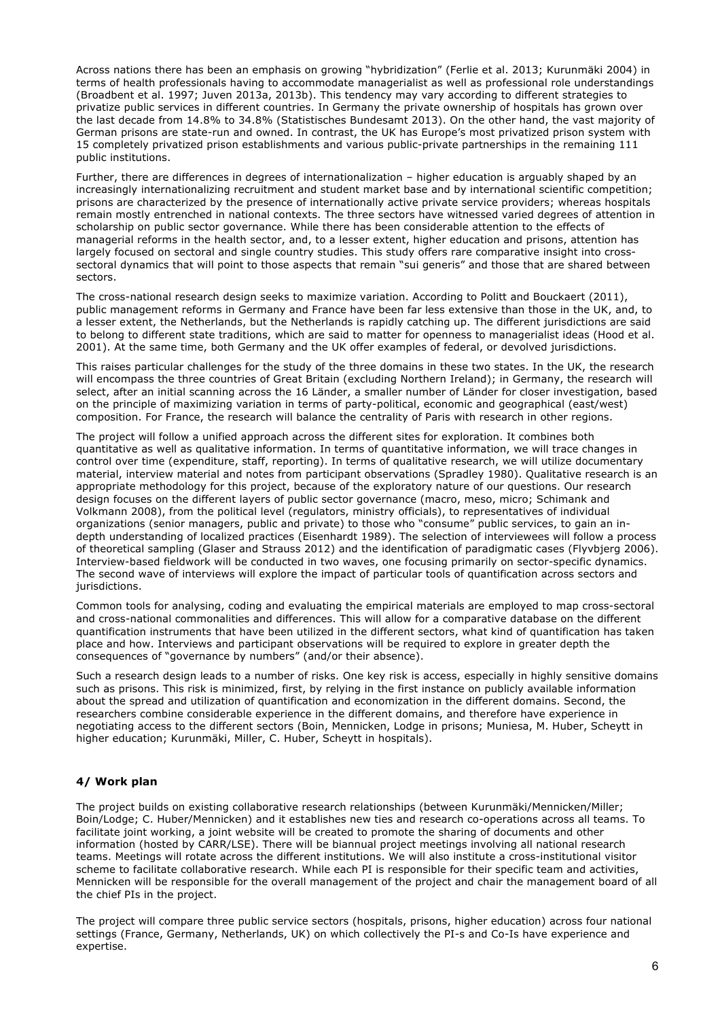Across nations there has been an emphasis on growing "hybridization" (Ferlie et al. 2013; Kurunmäki 2004) in terms of health professionals having to accommodate managerialist as well as professional role understandings (Broadbent et al. 1997; Juven 2013a, 2013b). This tendency may vary according to different strategies to privatize public services in different countries. In Germany the private ownership of hospitals has grown over the last decade from 14.8% to 34.8% (Statistisches Bundesamt 2013). On the other hand, the vast majority of German prisons are state-run and owned. In contrast, the UK has Europe's most privatized prison system with 15 completely privatized prison establishments and various public-private partnerships in the remaining 111 public institutions.

Further, there are differences in degrees of internationalization – higher education is arguably shaped by an increasingly internationalizing recruitment and student market base and by international scientific competition; prisons are characterized by the presence of internationally active private service providers; whereas hospitals remain mostly entrenched in national contexts. The three sectors have witnessed varied degrees of attention in scholarship on public sector governance. While there has been considerable attention to the effects of managerial reforms in the health sector, and, to a lesser extent, higher education and prisons, attention has largely focused on sectoral and single country studies. This study offers rare comparative insight into crosssectoral dynamics that will point to those aspects that remain "sui generis" and those that are shared between sectors.

The cross-national research design seeks to maximize variation. According to Politt and Bouckaert (2011), public management reforms in Germany and France have been far less extensive than those in the UK, and, to a lesser extent, the Netherlands, but the Netherlands is rapidly catching up. The different jurisdictions are said to belong to different state traditions, which are said to matter for openness to managerialist ideas (Hood et al. 2001). At the same time, both Germany and the UK offer examples of federal, or devolved jurisdictions.

This raises particular challenges for the study of the three domains in these two states. In the UK, the research will encompass the three countries of Great Britain (excluding Northern Ireland); in Germany, the research will select, after an initial scanning across the 16 Länder, a smaller number of Länder for closer investigation, based on the principle of maximizing variation in terms of party-political, economic and geographical (east/west) composition. For France, the research will balance the centrality of Paris with research in other regions.

The project will follow a unified approach across the different sites for exploration. It combines both quantitative as well as qualitative information. In terms of quantitative information, we will trace changes in control over time (expenditure, staff, reporting). In terms of qualitative research, we will utilize documentary material, interview material and notes from participant observations (Spradley 1980). Qualitative research is an appropriate methodology for this project, because of the exploratory nature of our questions. Our research design focuses on the different layers of public sector governance (macro, meso, micro; Schimank and Volkmann 2008), from the political level (regulators, ministry officials), to representatives of individual organizations (senior managers, public and private) to those who "consume" public services, to gain an indepth understanding of localized practices (Eisenhardt 1989). The selection of interviewees will follow a process of theoretical sampling (Glaser and Strauss 2012) and the identification of paradigmatic cases (Flyvbjerg 2006). Interview-based fieldwork will be conducted in two waves, one focusing primarily on sector-specific dynamics. The second wave of interviews will explore the impact of particular tools of quantification across sectors and jurisdictions.

Common tools for analysing, coding and evaluating the empirical materials are employed to map cross-sectoral and cross-national commonalities and differences. This will allow for a comparative database on the different quantification instruments that have been utilized in the different sectors, what kind of quantification has taken place and how. Interviews and participant observations will be required to explore in greater depth the consequences of "governance by numbers" (and/or their absence).

Such a research design leads to a number of risks. One key risk is access, especially in highly sensitive domains such as prisons. This risk is minimized, first, by relying in the first instance on publicly available information about the spread and utilization of quantification and economization in the different domains. Second, the researchers combine considerable experience in the different domains, and therefore have experience in negotiating access to the different sectors (Boin, Mennicken, Lodge in prisons; Muniesa, M. Huber, Scheytt in higher education; Kurunmäki, Miller, C. Huber, Scheytt in hospitals).

## **4/ Work plan**

The project builds on existing collaborative research relationships (between Kurunmäki/Mennicken/Miller; Boin/Lodge; C. Huber/Mennicken) and it establishes new ties and research co-operations across all teams. To facilitate joint working, a joint website will be created to promote the sharing of documents and other information (hosted by CARR/LSE). There will be biannual project meetings involving all national research teams. Meetings will rotate across the different institutions. We will also institute a cross-institutional visitor scheme to facilitate collaborative research. While each PI is responsible for their specific team and activities, Mennicken will be responsible for the overall management of the project and chair the management board of all the chief PIs in the project.

The project will compare three public service sectors (hospitals, prisons, higher education) across four national settings (France, Germany, Netherlands, UK) on which collectively the PI-s and Co-Is have experience and expertise.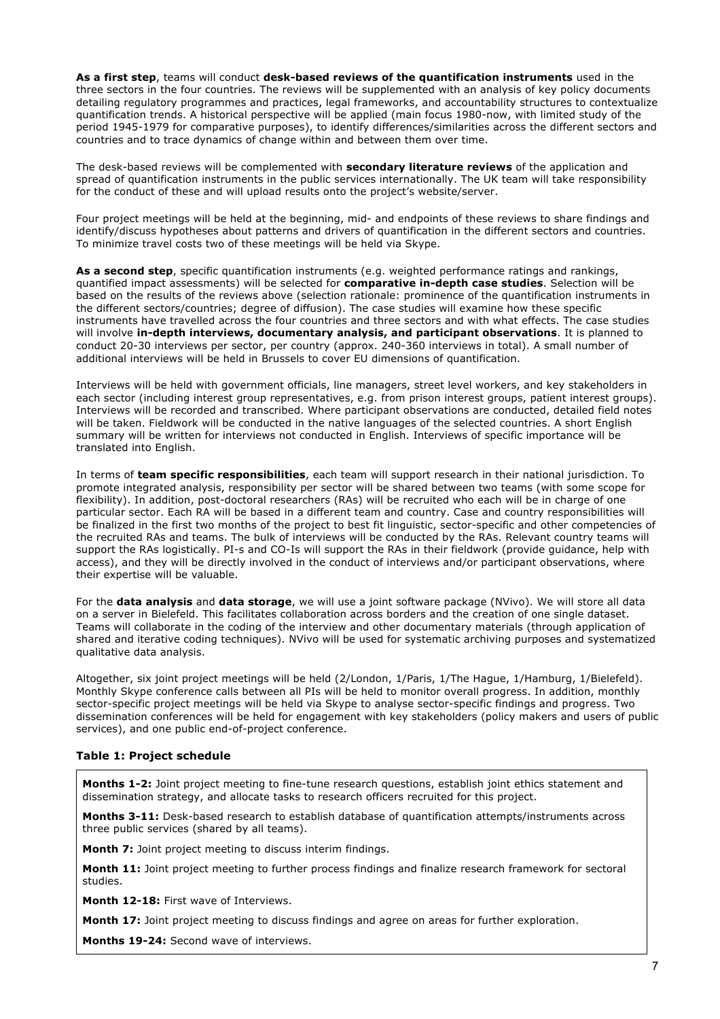**As a first step**, teams will conduct **desk-based reviews of the quantification instruments** used in the three sectors in the four countries. The reviews will be supplemented with an analysis of key policy documents detailing regulatory programmes and practices, legal frameworks, and accountability structures to contextualize quantification trends. A historical perspective will be applied (main focus 1980-now, with limited study of the period 1945-1979 for comparative purposes), to identify differences/similarities across the different sectors and countries and to trace dynamics of change within and between them over time.

The desk-based reviews will be complemented with **secondary literature reviews** of the application and spread of quantification instruments in the public services internationally. The UK team will take responsibility for the conduct of these and will upload results onto the project's website/server.

Four project meetings will be held at the beginning, mid- and endpoints of these reviews to share findings and identify/discuss hypotheses about patterns and drivers of quantification in the different sectors and countries. To minimize travel costs two of these meetings will be held via Skype.

**As a second step**, specific quantification instruments (e.g. weighted performance ratings and rankings, quantified impact assessments) will be selected for **comparative in-depth case studies**. Selection will be based on the results of the reviews above (selection rationale: prominence of the quantification instruments in the different sectors/countries; degree of diffusion). The case studies will examine how these specific instruments have travelled across the four countries and three sectors and with what effects. The case studies will involve **in-depth interviews, documentary analysis, and participant observations**. It is planned to conduct 20-30 interviews per sector, per country (approx. 240-360 interviews in total). A small number of additional interviews will be held in Brussels to cover EU dimensions of quantification.

Interviews will be held with government officials, line managers, street level workers, and key stakeholders in each sector (including interest group representatives, e.g. from prison interest groups, patient interest groups). Interviews will be recorded and transcribed. Where participant observations are conducted, detailed field notes will be taken. Fieldwork will be conducted in the native languages of the selected countries. A short English summary will be written for interviews not conducted in English. Interviews of specific importance will be translated into English.

In terms of **team specific responsibilities**, each team will support research in their national jurisdiction. To promote integrated analysis, responsibility per sector will be shared between two teams (with some scope for flexibility). In addition, post-doctoral researchers (RAs) will be recruited who each will be in charge of one particular sector. Each RA will be based in a different team and country. Case and country responsibilities will be finalized in the first two months of the project to best fit linguistic, sector-specific and other competencies of the recruited RAs and teams. The bulk of interviews will be conducted by the RAs. Relevant country teams will support the RAs logistically. PI-s and CO-Is will support the RAs in their fieldwork (provide guidance, help with access), and they will be directly involved in the conduct of interviews and/or participant observations, where their expertise will be valuable.

For the **data analysis** and **data storage**, we will use a joint software package (NVivo). We will store all data on a server in Bielefeld. This facilitates collaboration across borders and the creation of one single dataset. Teams will collaborate in the coding of the interview and other documentary materials (through application of shared and iterative coding techniques). NVivo will be used for systematic archiving purposes and systematized qualitative data analysis.

Altogether, six joint project meetings will be held (2/London, 1/Paris, 1/The Hague, 1/Hamburg, 1/Bielefeld). Monthly Skype conference calls between all PIs will be held to monitor overall progress. In addition, monthly sector-specific project meetings will be held via Skype to analyse sector-specific findings and progress. Two dissemination conferences will be held for engagement with key stakeholders (policy makers and users of public services), and one public end-of-project conference.

## **Table 1: Project schedule**

**Months 1-2:** Joint project meeting to fine-tune research questions, establish joint ethics statement and dissemination strategy, and allocate tasks to research officers recruited for this project.

**Months 3-11:** Desk-based research to establish database of quantification attempts/instruments across three public services (shared by all teams).

**Month 7:** Joint project meeting to discuss interim findings.

**Month 11:** Joint project meeting to further process findings and finalize research framework for sectoral studies.

**Month 12-18:** First wave of Interviews.

**Month 17:** Joint project meeting to discuss findings and agree on areas for further exploration.

**Months 19-24:** Second wave of interviews.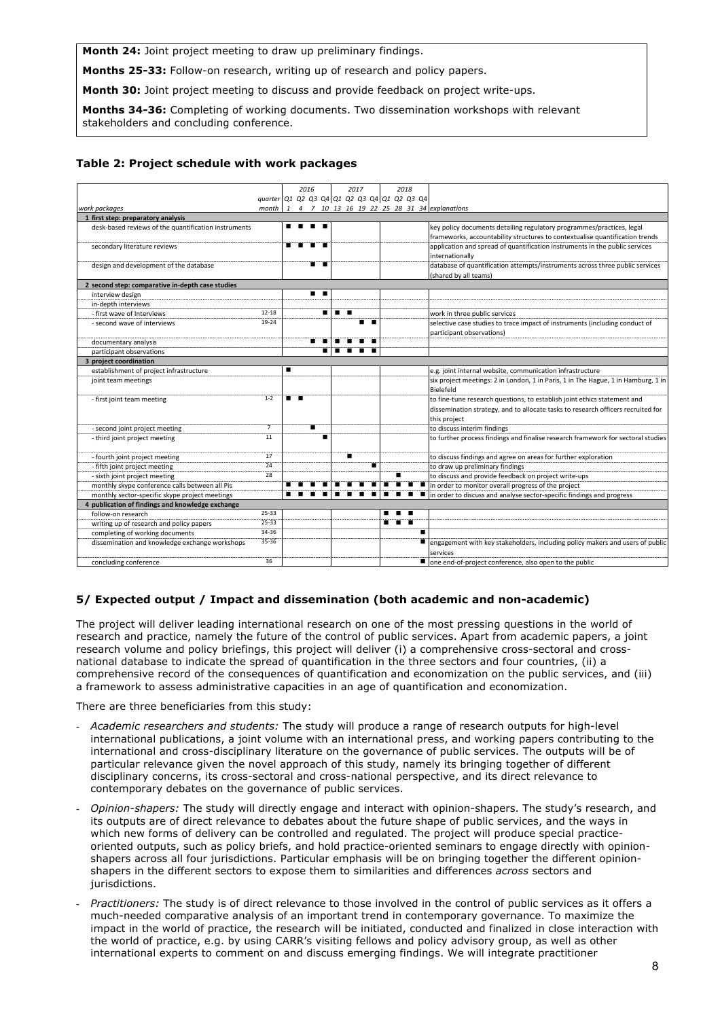**Month 24:** Joint project meeting to draw up preliminary findings.

**Months 25-33:** Follow-on research, writing up of research and policy papers.

**Month 30:** Joint project meeting to discuss and provide feedback on project write-ups.

**Months 34-36:** Completing of working documents. Two dissemination workshops with relevant stakeholders and concluding conference.

#### **Table 2: Project schedule with work packages** project(schedule

|                                                                                     |                |     | 2016 |  | 2017                                        |   | 2018 |  |                                                                                                |
|-------------------------------------------------------------------------------------|----------------|-----|------|--|---------------------------------------------|---|------|--|------------------------------------------------------------------------------------------------|
|                                                                                     |                |     |      |  | quarter Q1 Q2 Q3 Q4 Q1 Q2 Q3 Q4 Q1 Q2 Q3 Q4 |   |      |  |                                                                                                |
| work packages                                                                       | month          |     |      |  |                                             |   |      |  |                                                                                                |
| 1 4 7 10 13 16 19 22 25 28 31 34 explanations<br>1 first step: preparatory analysis |                |     |      |  |                                             |   |      |  |                                                                                                |
| desk-based reviews of the quantification instruments                                |                | .   |      |  |                                             |   |      |  | key policy documents detailing regulatory programmes/practices, legal                          |
|                                                                                     |                |     |      |  |                                             |   |      |  | frameworks, accountability structures to contextualise quantification trends                   |
| secondary literature reviews                                                        |                |     |      |  |                                             |   |      |  | application and spread of quantification instruments in the public services                    |
|                                                                                     |                |     |      |  |                                             |   |      |  | internationally                                                                                |
| design and development of the database                                              |                |     | п.   |  |                                             |   |      |  | database of quantification attempts/instruments across three public services                   |
|                                                                                     |                |     |      |  |                                             |   |      |  | (shared by all teams)                                                                          |
| 2 second step: comparative in-depth case studies                                    |                |     |      |  |                                             |   |      |  |                                                                                                |
| interview design                                                                    |                |     |      |  |                                             |   |      |  |                                                                                                |
| in-depth interviews                                                                 |                |     |      |  |                                             |   |      |  |                                                                                                |
| - first wave of Interviews                                                          | $12 - 18$      |     | ▪    |  | . .                                         |   |      |  | work in three public services                                                                  |
| - second wave of interviews                                                         | 19-24          |     |      |  | . .                                         |   |      |  | selective case studies to trace impact of instruments (including conduct of                    |
|                                                                                     |                |     |      |  |                                             |   |      |  | participant observations)                                                                      |
| documentary analysis                                                                |                |     |      |  |                                             |   |      |  |                                                                                                |
| participant observations                                                            |                |     |      |  |                                             |   |      |  |                                                                                                |
| 3 project coordination                                                              |                |     |      |  |                                             |   |      |  |                                                                                                |
| establishment of project infrastructure                                             |                |     |      |  |                                             |   |      |  | e.g. joint internal website, communication infrastructure                                      |
| joint team meetings                                                                 |                |     |      |  |                                             |   |      |  | six project meetings: 2 in London, 1 in Paris, 1 in The Hague, 1 in Hamburg, 1 in<br>Bielefeld |
| - first joint team meeting                                                          | $1 - 2$        | . . |      |  |                                             |   |      |  | to fine-tune research questions, to establish joint ethics statement and                       |
|                                                                                     |                |     |      |  |                                             |   |      |  | dissemination strategy, and to allocate tasks to research officers recruited for               |
|                                                                                     |                |     |      |  |                                             |   |      |  | this project                                                                                   |
| - second joint project meeting                                                      | $\overline{7}$ |     |      |  |                                             |   |      |  | to discuss interim findings                                                                    |
| - third joint project meeting                                                       | 11             |     | ■    |  |                                             |   |      |  | to further process findings and finalise research framework for sectoral studies               |
| - fourth joint project meeting                                                      | 17             |     |      |  | п                                           |   |      |  | to discuss findings and agree on areas for further exploration                                 |
| - fifth joint project meeting                                                       | 24             |     |      |  |                                             |   |      |  | to draw up preliminary findings                                                                |
| - sixth joint project meeting                                                       | 28             |     |      |  |                                             |   |      |  | to discuss and provide feedback on project write-ups                                           |
| monthly skype conference calls between all Pis                                      |                |     |      |  |                                             |   |      |  | in order to monitor overall progress of the project                                            |
| monthly sector-specific skype project meetings                                      |                |     |      |  |                                             |   |      |  | in order to discuss and analyse sector-specific findings and progress                          |
| 4 publication of findings and knowledge exchange                                    |                |     |      |  |                                             |   |      |  |                                                                                                |
| follow-on research                                                                  | 25-33          |     |      |  |                                             | . |      |  |                                                                                                |
| writing up of research and policy papers                                            | 25-33          |     |      |  |                                             |   |      |  |                                                                                                |
| completing of working documents                                                     | 34-36          |     |      |  |                                             |   |      |  |                                                                                                |
| dissemination and knowledge exchange workshops                                      | 35-36          |     |      |  |                                             |   |      |  | engagement with key stakeholders, including policy makers and users of public                  |
|                                                                                     |                |     |      |  |                                             |   |      |  | services                                                                                       |
| concluding conference                                                               | 36             |     |      |  |                                             |   |      |  | ■ one end-of-project conference, also open to the public                                       |

## **5/ Expected output / Impact and dissemination (both academic and non-academic)**

The project will deliver leading international research on one of the most pressing questions in the world of research and practice, namely the future of the control of public services. Apart from academic papers, a joint research volume and policy briefings, this project will deliver (i) a comprehensive cross-sectoral and crossnational database to indicate the spread of quantification in the three sectors and four countries, (ii) a comprehensive record of the consequences of quantification and economization on the public services, and (iii) a framework to assess administrative capacities in an age of quantification and economization.

There are three beneficiaries from this study:

- *Academic researchers and students:* The study will produce a range of research outputs for high-level international publications, a joint volume with an international press, and working papers contributing to the international and cross-disciplinary literature on the governance of public services. The outputs will be of particular relevance given the novel approach of this study, namely its bringing together of different disciplinary concerns, its cross-sectoral and cross-national perspective, and its direct relevance to contemporary debates on the governance of public services.
- *Opinion-shapers:* The study will directly engage and interact with opinion-shapers. The study's research, and its outputs are of direct relevance to debates about the future shape of public services, and the ways in which new forms of delivery can be controlled and regulated. The project will produce special practiceoriented outputs, such as policy briefs, and hold practice-oriented seminars to engage directly with opinionshapers across all four jurisdictions. Particular emphasis will be on bringing together the different opinionshapers in the different sectors to expose them to similarities and differences *across* sectors and jurisdictions.
- *Practitioners:* The study is of direct relevance to those involved in the control of public services as it offers a much-needed comparative analysis of an important trend in contemporary governance. To maximize the impact in the world of practice, the research will be initiated, conducted and finalized in close interaction with the world of practice, e.g. by using CARR's visiting fellows and policy advisory group, as well as other international experts to comment on and discuss emerging findings. We will integrate practitioner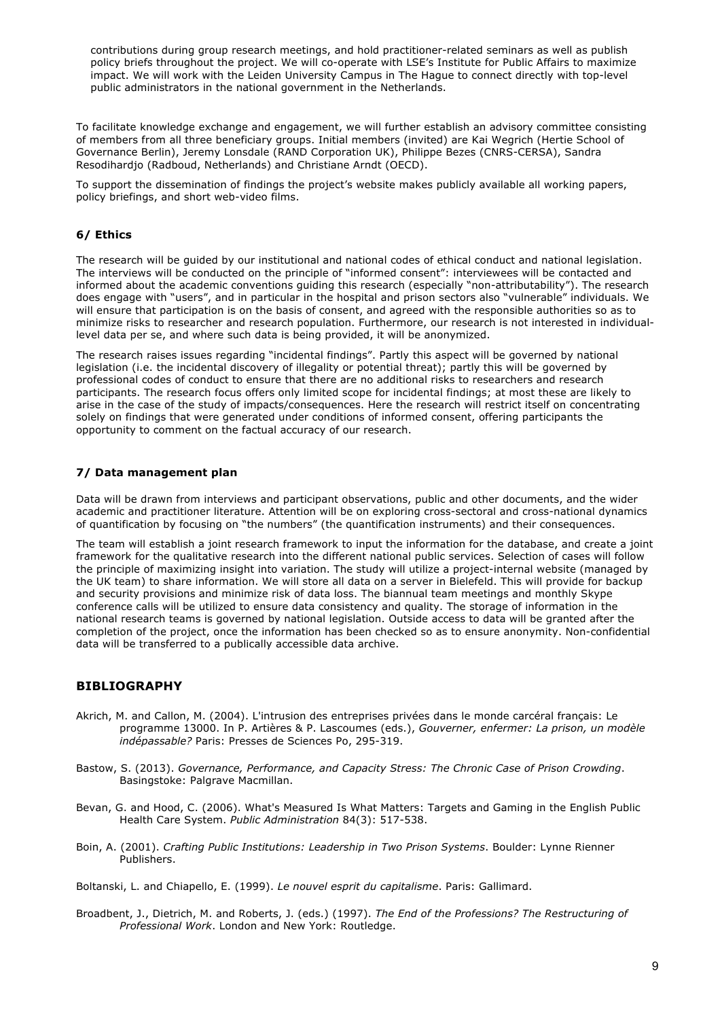contributions during group research meetings, and hold practitioner-related seminars as well as publish policy briefs throughout the project. We will co-operate with LSE's Institute for Public Affairs to maximize impact. We will work with the Leiden University Campus in The Hague to connect directly with top-level public administrators in the national government in the Netherlands.

To facilitate knowledge exchange and engagement, we will further establish an advisory committee consisting of members from all three beneficiary groups. Initial members (invited) are Kai Wegrich (Hertie School of Governance Berlin), Jeremy Lonsdale (RAND Corporation UK), Philippe Bezes (CNRS-CERSA), Sandra Resodihardjo (Radboud, Netherlands) and Christiane Arndt (OECD).

To support the dissemination of findings the project's website makes publicly available all working papers, policy briefings, and short web-video films.

## **6/ Ethics**

The research will be guided by our institutional and national codes of ethical conduct and national legislation. The interviews will be conducted on the principle of "informed consent": interviewees will be contacted and informed about the academic conventions guiding this research (especially "non-attributability"). The research does engage with "users", and in particular in the hospital and prison sectors also "vulnerable" individuals. We will ensure that participation is on the basis of consent, and agreed with the responsible authorities so as to minimize risks to researcher and research population. Furthermore, our research is not interested in individuallevel data per se, and where such data is being provided, it will be anonymized.

The research raises issues regarding "incidental findings". Partly this aspect will be governed by national legislation (i.e. the incidental discovery of illegality or potential threat); partly this will be governed by professional codes of conduct to ensure that there are no additional risks to researchers and research participants. The research focus offers only limited scope for incidental findings; at most these are likely to arise in the case of the study of impacts/consequences. Here the research will restrict itself on concentrating solely on findings that were generated under conditions of informed consent, offering participants the opportunity to comment on the factual accuracy of our research.

## **7/ Data management plan**

Data will be drawn from interviews and participant observations, public and other documents, and the wider academic and practitioner literature. Attention will be on exploring cross-sectoral and cross-national dynamics of quantification by focusing on "the numbers" (the quantification instruments) and their consequences.

The team will establish a joint research framework to input the information for the database, and create a joint framework for the qualitative research into the different national public services. Selection of cases will follow the principle of maximizing insight into variation. The study will utilize a project-internal website (managed by the UK team) to share information. We will store all data on a server in Bielefeld. This will provide for backup and security provisions and minimize risk of data loss. The biannual team meetings and monthly Skype conference calls will be utilized to ensure data consistency and quality. The storage of information in the national research teams is governed by national legislation. Outside access to data will be granted after the completion of the project, once the information has been checked so as to ensure anonymity. Non-confidential data will be transferred to a publically accessible data archive.

## **BIBLIOGRAPHY**

- Akrich, M. and Callon, M. (2004). L'intrusion des entreprises privées dans le monde carcéral français: Le programme 13000. In P. Artières & P. Lascoumes (eds.), *Gouverner, enfermer: La prison, un modèle indépassable?* Paris: Presses de Sciences Po, 295-319.
- Bastow, S. (2013). *Governance, Performance, and Capacity Stress: The Chronic Case of Prison Crowding*. Basingstoke: Palgrave Macmillan.
- Bevan, G. and Hood, C. (2006). What's Measured Is What Matters: Targets and Gaming in the English Public Health Care System. *Public Administration* 84(3): 517-538.
- Boin, A. (2001). *Crafting Public Institutions: Leadership in Two Prison Systems*. Boulder: Lynne Rienner Publishers.

Boltanski, L. and Chiapello, E. (1999). *Le nouvel esprit du capitalisme*. Paris: Gallimard.

Broadbent, J., Dietrich, M. and Roberts, J. (eds.) (1997). *The End of the Professions? The Restructuring of Professional Work*. London and New York: Routledge.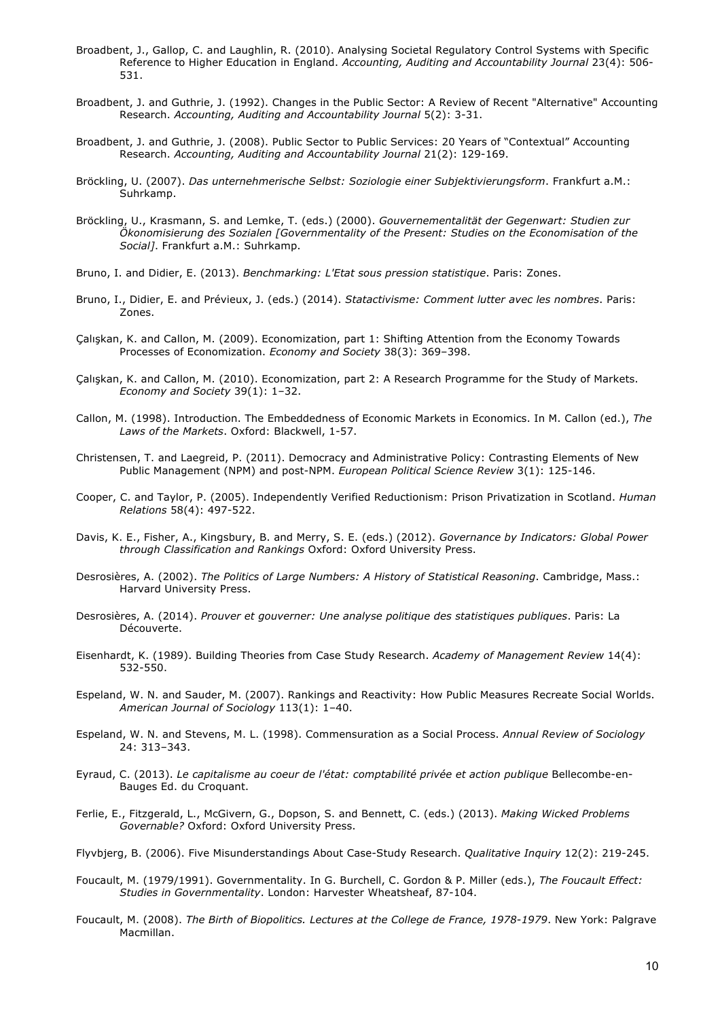- Broadbent, J., Gallop, C. and Laughlin, R. (2010). Analysing Societal Regulatory Control Systems with Specific Reference to Higher Education in England. *Accounting, Auditing and Accountability Journal* 23(4): 506- 531.
- Broadbent, J. and Guthrie, J. (1992). Changes in the Public Sector: A Review of Recent "Alternative" Accounting Research. *Accounting, Auditing and Accountability Journal* 5(2): 3-31.
- Broadbent, J. and Guthrie, J. (2008). Public Sector to Public Services: 20 Years of "Contextual" Accounting Research. *Accounting, Auditing and Accountability Journal* 21(2): 129-169.
- Bröckling, U. (2007). *Das unternehmerische Selbst: Soziologie einer Subjektivierungsform*. Frankfurt a.M.: Suhrkamp.
- Bröckling, U., Krasmann, S. and Lemke, T. (eds.) (2000). *Gouvernementalität der Gegenwart: Studien zur Ökonomisierung des Sozialen [Governmentality of the Present: Studies on the Economisation of the Social]*. Frankfurt a.M.: Suhrkamp.
- Bruno, I. and Didier, E. (2013). *Benchmarking: L'Etat sous pression statistique*. Paris: Zones.
- Bruno, I., Didier, E. and Prévieux, J. (eds.) (2014). *Statactivisme: Comment lutter avec les nombres*. Paris: Zones.
- Çalışkan, K. and Callon, M. (2009). Economization, part 1: Shifting Attention from the Economy Towards Processes of Economization. *Economy and Society* 38(3): 369–398.
- Çalışkan, K. and Callon, M. (2010). Economization, part 2: A Research Programme for the Study of Markets. *Economy and Society* 39(1): 1–32.
- Callon, M. (1998). Introduction. The Embeddedness of Economic Markets in Economics. In M. Callon (ed.), *The Laws of the Markets*. Oxford: Blackwell, 1-57.
- Christensen, T. and Laegreid, P. (2011). Democracy and Administrative Policy: Contrasting Elements of New Public Management (NPM) and post-NPM. *European Political Science Review* 3(1): 125-146.
- Cooper, C. and Taylor, P. (2005). Independently Verified Reductionism: Prison Privatization in Scotland. *Human Relations* 58(4): 497-522.
- Davis, K. E., Fisher, A., Kingsbury, B. and Merry, S. E. (eds.) (2012). *Governance by Indicators: Global Power through Classification and Rankings* Oxford: Oxford University Press.
- Desrosières, A. (2002). *The Politics of Large Numbers: A History of Statistical Reasoning*. Cambridge, Mass.: Harvard University Press.
- Desrosières, A. (2014). *Prouver et gouverner: Une analyse politique des statistiques publiques*. Paris: La Découverte.
- Eisenhardt, K. (1989). Building Theories from Case Study Research. *Academy of Management Review* 14(4): 532-550.
- Espeland, W. N. and Sauder, M. (2007). Rankings and Reactivity: How Public Measures Recreate Social Worlds. *American Journal of Sociology* 113(1): 1–40.
- Espeland, W. N. and Stevens, M. L. (1998). Commensuration as a Social Process. *Annual Review of Sociology* 24: 313–343.
- Eyraud, C. (2013). *Le capitalisme au coeur de l'état: comptabilité privée et action publique* Bellecombe-en-Bauges Ed. du Croquant.
- Ferlie, E., Fitzgerald, L., McGivern, G., Dopson, S. and Bennett, C. (eds.) (2013). *Making Wicked Problems Governable?* Oxford: Oxford University Press.
- Flyvbjerg, B. (2006). Five Misunderstandings About Case-Study Research. *Qualitative Inquiry* 12(2): 219-245.
- Foucault, M. (1979/1991). Governmentality. In G. Burchell, C. Gordon & P. Miller (eds.), *The Foucault Effect: Studies in Governmentality*. London: Harvester Wheatsheaf, 87-104.
- Foucault, M. (2008). *The Birth of Biopolitics. Lectures at the College de France, 1978-1979*. New York: Palgrave Macmillan.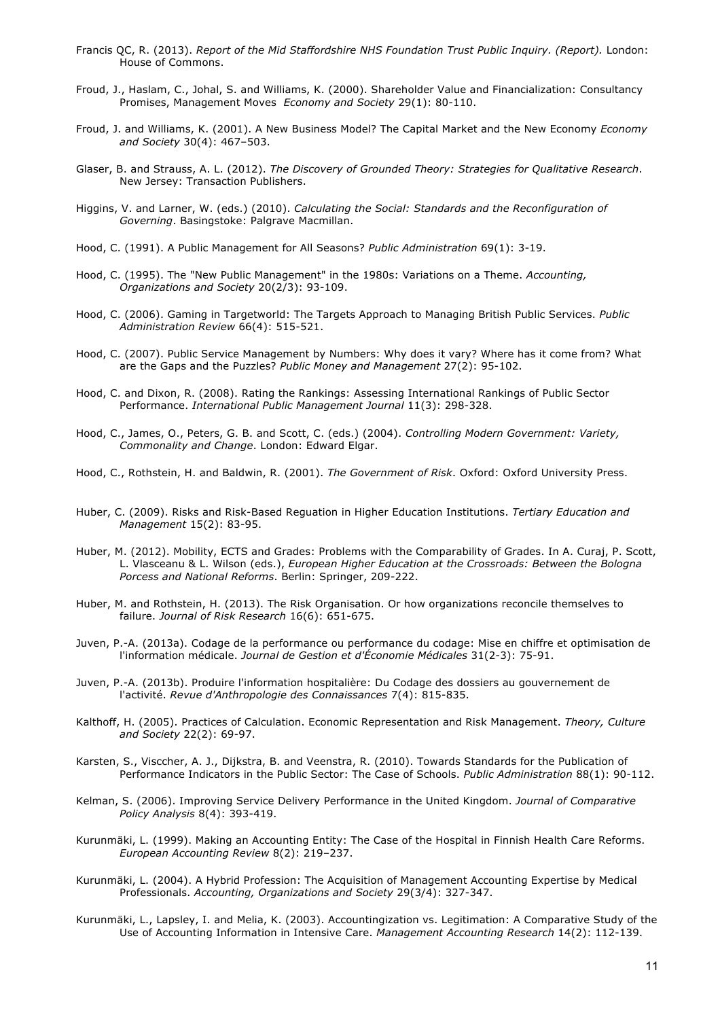- Francis QC, R. (2013). *Report of the Mid Staffordshire NHS Foundation Trust Public Inquiry. (Report).* London: House of Commons.
- Froud, J., Haslam, C., Johal, S. and Williams, K. (2000). Shareholder Value and Financialization: Consultancy Promises, Management Moves *Economy and Society* 29(1): 80-110.
- Froud, J. and Williams, K. (2001). A New Business Model? The Capital Market and the New Economy *Economy and Society* 30(4): 467–503.
- Glaser, B. and Strauss, A. L. (2012). *The Discovery of Grounded Theory: Strategies for Qualitative Research*. New Jersey: Transaction Publishers.
- Higgins, V. and Larner, W. (eds.) (2010). *Calculating the Social: Standards and the Reconfiguration of Governing*. Basingstoke: Palgrave Macmillan.
- Hood, C. (1991). A Public Management for All Seasons? *Public Administration* 69(1): 3-19.
- Hood, C. (1995). The "New Public Management" in the 1980s: Variations on a Theme. *Accounting, Organizations and Society* 20(2/3): 93-109.
- Hood, C. (2006). Gaming in Targetworld: The Targets Approach to Managing British Public Services. *Public Administration Review* 66(4): 515-521.
- Hood, C. (2007). Public Service Management by Numbers: Why does it vary? Where has it come from? What are the Gaps and the Puzzles? *Public Money and Management* 27(2): 95-102.
- Hood, C. and Dixon, R. (2008). Rating the Rankings: Assessing International Rankings of Public Sector Performance. *International Public Management Journal* 11(3): 298-328.
- Hood, C., James, O., Peters, G. B. and Scott, C. (eds.) (2004). *Controlling Modern Government: Variety, Commonality and Change*. London: Edward Elgar.
- Hood, C., Rothstein, H. and Baldwin, R. (2001). *The Government of Risk*. Oxford: Oxford University Press.
- Huber, C. (2009). Risks and Risk-Based Reguation in Higher Education Institutions. *Tertiary Education and Management* 15(2): 83-95.
- Huber, M. (2012). Mobility, ECTS and Grades: Problems with the Comparability of Grades. In A. Curaj, P. Scott, L. Vlasceanu & L. Wilson (eds.), *European Higher Education at the Crossroads: Between the Bologna Porcess and National Reforms*. Berlin: Springer, 209-222.
- Huber, M. and Rothstein, H. (2013). The Risk Organisation. Or how organizations reconcile themselves to failure. *Journal of Risk Research* 16(6): 651-675.
- Juven, P.-A. (2013a). Codage de la performance ou performance du codage: Mise en chiffre et optimisation de l'information médicale. *Journal de Gestion et d'Économie Médicales* 31(2-3): 75-91.
- Juven, P.-A. (2013b). Produire l'information hospitalière: Du Codage des dossiers au gouvernement de l'activité. *Revue d'Anthropologie des Connaissances* 7(4): 815-835.
- Kalthoff, H. (2005). Practices of Calculation. Economic Representation and Risk Management. *Theory, Culture and Society* 22(2): 69-97.
- Karsten, S., Visccher, A. J., Dijkstra, B. and Veenstra, R. (2010). Towards Standards for the Publication of Performance Indicators in the Public Sector: The Case of Schools. *Public Administration* 88(1): 90-112.
- Kelman, S. (2006). Improving Service Delivery Performance in the United Kingdom. *Journal of Comparative Policy Analysis* 8(4): 393-419.
- Kurunmäki, L. (1999). Making an Accounting Entity: The Case of the Hospital in Finnish Health Care Reforms. *European Accounting Review* 8(2): 219–237.
- Kurunmäki, L. (2004). A Hybrid Profession: The Acquisition of Management Accounting Expertise by Medical Professionals. *Accounting, Organizations and Society* 29(3/4): 327-347.
- Kurunmäki, L., Lapsley, I. and Melia, K. (2003). Accountingization vs. Legitimation: A Comparative Study of the Use of Accounting Information in Intensive Care. *Management Accounting Research* 14(2): 112-139.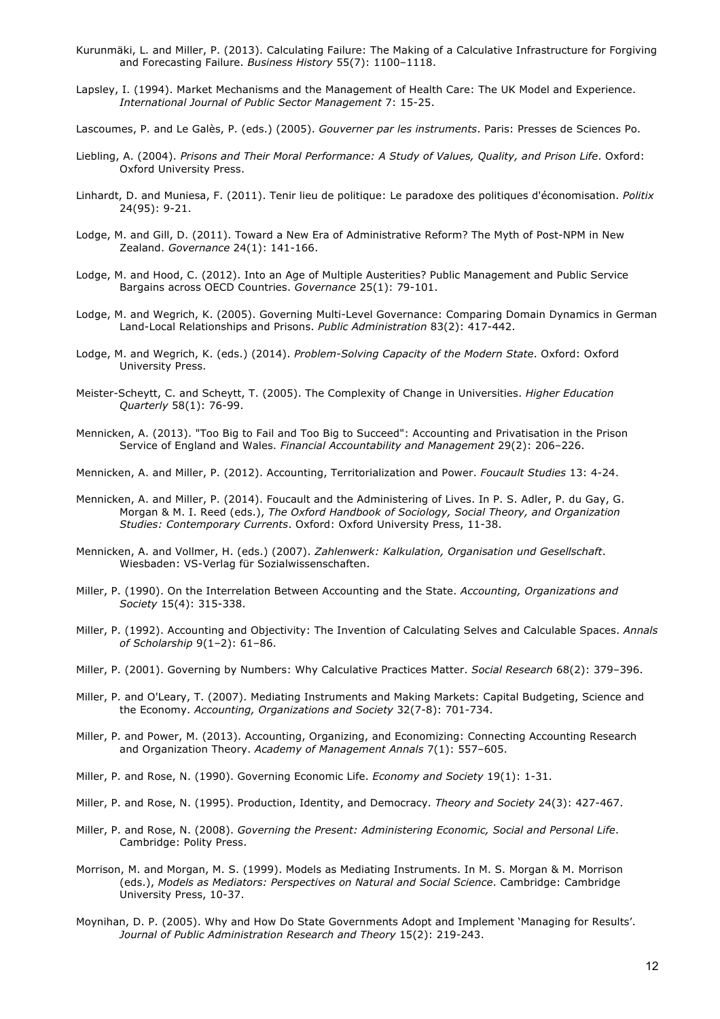- Kurunmäki, L. and Miller, P. (2013). Calculating Failure: The Making of a Calculative Infrastructure for Forgiving and Forecasting Failure. *Business History* 55(7): 1100–1118.
- Lapsley, I. (1994). Market Mechanisms and the Management of Health Care: The UK Model and Experience. *International Journal of Public Sector Management* 7: 15-25.

Lascoumes, P. and Le Galès, P. (eds.) (2005). *Gouverner par les instruments*. Paris: Presses de Sciences Po.

- Liebling, A. (2004). *Prisons and Their Moral Performance: A Study of Values, Quality, and Prison Life*. Oxford: Oxford University Press.
- Linhardt, D. and Muniesa, F. (2011). Tenir lieu de politique: Le paradoxe des politiques d'économisation. *Politix* 24(95): 9-21.
- Lodge, M. and Gill, D. (2011). Toward a New Era of Administrative Reform? The Myth of Post-NPM in New Zealand. *Governance* 24(1): 141-166.
- Lodge, M. and Hood, C. (2012). Into an Age of Multiple Austerities? Public Management and Public Service Bargains across OECD Countries. *Governance* 25(1): 79-101.
- Lodge, M. and Wegrich, K. (2005). Governing Multi-Level Governance: Comparing Domain Dynamics in German Land-Local Relationships and Prisons. *Public Administration* 83(2): 417-442.
- Lodge, M. and Wegrich, K. (eds.) (2014). *Problem-Solving Capacity of the Modern State*. Oxford: Oxford University Press.
- Meister-Scheytt, C. and Scheytt, T. (2005). The Complexity of Change in Universities. *Higher Education Quarterly* 58(1): 76-99.
- Mennicken, A. (2013). "Too Big to Fail and Too Big to Succeed": Accounting and Privatisation in the Prison Service of England and Wales. *Financial Accountability and Management* 29(2): 206–226.
- Mennicken, A. and Miller, P. (2012). Accounting, Territorialization and Power. *Foucault Studies* 13: 4-24.
- Mennicken, A. and Miller, P. (2014). Foucault and the Administering of Lives. In P. S. Adler, P. du Gay, G. Morgan & M. I. Reed (eds.), *The Oxford Handbook of Sociology, Social Theory, and Organization Studies: Contemporary Currents*. Oxford: Oxford University Press, 11-38.
- Mennicken, A. and Vollmer, H. (eds.) (2007). *Zahlenwerk: Kalkulation, Organisation und Gesellschaft*. Wiesbaden: VS-Verlag für Sozialwissenschaften.
- Miller, P. (1990). On the Interrelation Between Accounting and the State. *Accounting, Organizations and Society* 15(4): 315-338.
- Miller, P. (1992). Accounting and Objectivity: The Invention of Calculating Selves and Calculable Spaces. *Annals of Scholarship* 9(1–2): 61–86.
- Miller, P. (2001). Governing by Numbers: Why Calculative Practices Matter. *Social Research* 68(2): 379–396.
- Miller, P. and O'Leary, T. (2007). Mediating Instruments and Making Markets: Capital Budgeting, Science and the Economy. *Accounting, Organizations and Society* 32(7-8): 701-734.
- Miller, P. and Power, M. (2013). Accounting, Organizing, and Economizing: Connecting Accounting Research and Organization Theory. *Academy of Management Annals* 7(1): 557–605.
- Miller, P. and Rose, N. (1990). Governing Economic Life. *Economy and Society* 19(1): 1-31.
- Miller, P. and Rose, N. (1995). Production, Identity, and Democracy. *Theory and Society* 24(3): 427-467.
- Miller, P. and Rose, N. (2008). *Governing the Present: Administering Economic, Social and Personal Life*. Cambridge: Polity Press.
- Morrison, M. and Morgan, M. S. (1999). Models as Mediating Instruments. In M. S. Morgan & M. Morrison (eds.), *Models as Mediators: Perspectives on Natural and Social Science*. Cambridge: Cambridge University Press, 10-37.
- Moynihan, D. P. (2005). Why and How Do State Governments Adopt and Implement 'Managing for Results'. *Journal of Public Administration Research and Theory* 15(2): 219-243.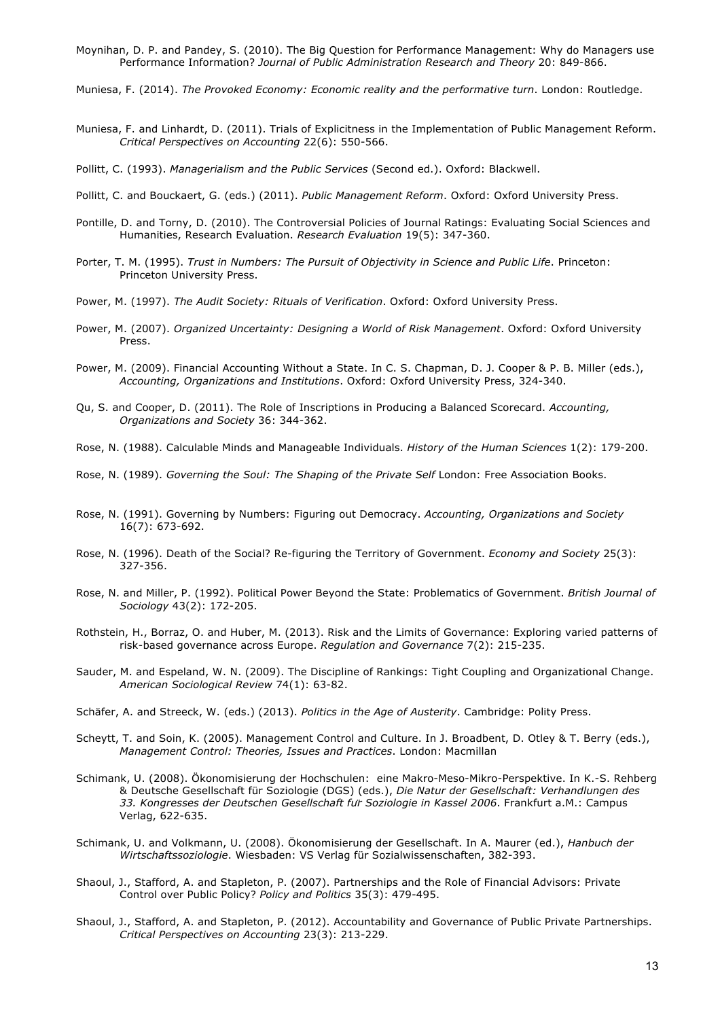Moynihan, D. P. and Pandey, S. (2010). The Big Question for Performance Management: Why do Managers use Performance Information? *Journal of Public Administration Research and Theory* 20: 849-866.

Muniesa, F. (2014). *The Provoked Economy: Economic reality and the performative turn*. London: Routledge.

Muniesa, F. and Linhardt, D. (2011). Trials of Explicitness in the Implementation of Public Management Reform. *Critical Perspectives on Accounting* 22(6): 550-566.

Pollitt, C. (1993). *Managerialism and the Public Services* (Second ed.). Oxford: Blackwell.

Pollitt, C. and Bouckaert, G. (eds.) (2011). *Public Management Reform*. Oxford: Oxford University Press.

- Pontille, D. and Torny, D. (2010). The Controversial Policies of Journal Ratings: Evaluating Social Sciences and Humanities, Research Evaluation. *Research Evaluation* 19(5): 347-360.
- Porter, T. M. (1995). *Trust in Numbers: The Pursuit of Objectivity in Science and Public Life*. Princeton: Princeton University Press.
- Power, M. (1997). *The Audit Society: Rituals of Verification*. Oxford: Oxford University Press.
- Power, M. (2007). *Organized Uncertainty: Designing a World of Risk Management*. Oxford: Oxford University Press.
- Power, M. (2009). Financial Accounting Without a State. In C. S. Chapman, D. J. Cooper & P. B. Miller (eds.), *Accounting, Organizations and Institutions*. Oxford: Oxford University Press, 324-340.
- Qu, S. and Cooper, D. (2011). The Role of Inscriptions in Producing a Balanced Scorecard. *Accounting, Organizations and Society* 36: 344-362.
- Rose, N. (1988). Calculable Minds and Manageable Individuals. *History of the Human Sciences* 1(2): 179-200.
- Rose, N. (1989). *Governing the Soul: The Shaping of the Private Self* London: Free Association Books.
- Rose, N. (1991). Governing by Numbers: Figuring out Democracy. *Accounting, Organizations and Society* 16(7): 673-692.
- Rose, N. (1996). Death of the Social? Re-figuring the Territory of Government. *Economy and Society* 25(3): 327-356.
- Rose, N. and Miller, P. (1992). Political Power Beyond the State: Problematics of Government. *British Journal of Sociology* 43(2): 172-205.
- Rothstein, H., Borraz, O. and Huber, M. (2013). Risk and the Limits of Governance: Exploring varied patterns of risk-based governance across Europe. *Regulation and Governance* 7(2): 215-235.
- Sauder, M. and Espeland, W. N. (2009). The Discipline of Rankings: Tight Coupling and Organizational Change. *American Sociological Review* 74(1): 63-82.
- Schäfer, A. and Streeck, W. (eds.) (2013). *Politics in the Age of Austerity*. Cambridge: Polity Press.
- Scheytt, T. and Soin, K. (2005). Management Control and Culture. In J. Broadbent, D. Otley & T. Berry (eds.), *Management Control: Theories, Issues and Practices*. London: Macmillan
- Schimank, U. (2008). Ökonomisierung der Hochschulen: eine Makro-Meso-Mikro-Perspektive. In K.-S. Rehberg & Deutsche Gesellschaft für Soziologie (DGS) (eds.), *Die Natur der Gesellschaft: Verhandlungen des 33. Kongresses der Deutschen Gesellschaft für Soziologie in Kassel 2006*. Frankfurt a.M.: Campus Verlag, 622-635.
- Schimank, U. and Volkmann, U. (2008). Ökonomisierung der Gesellschaft. In A. Maurer (ed.), *Hanbuch der Wirtschaftssoziologie*. Wiesbaden: VS Verlag für Sozialwissenschaften, 382-393.
- Shaoul, J., Stafford, A. and Stapleton, P. (2007). Partnerships and the Role of Financial Advisors: Private Control over Public Policy? *Policy and Politics* 35(3): 479-495.
- Shaoul, J., Stafford, A. and Stapleton, P. (2012). Accountability and Governance of Public Private Partnerships. *Critical Perspectives on Accounting* 23(3): 213-229.